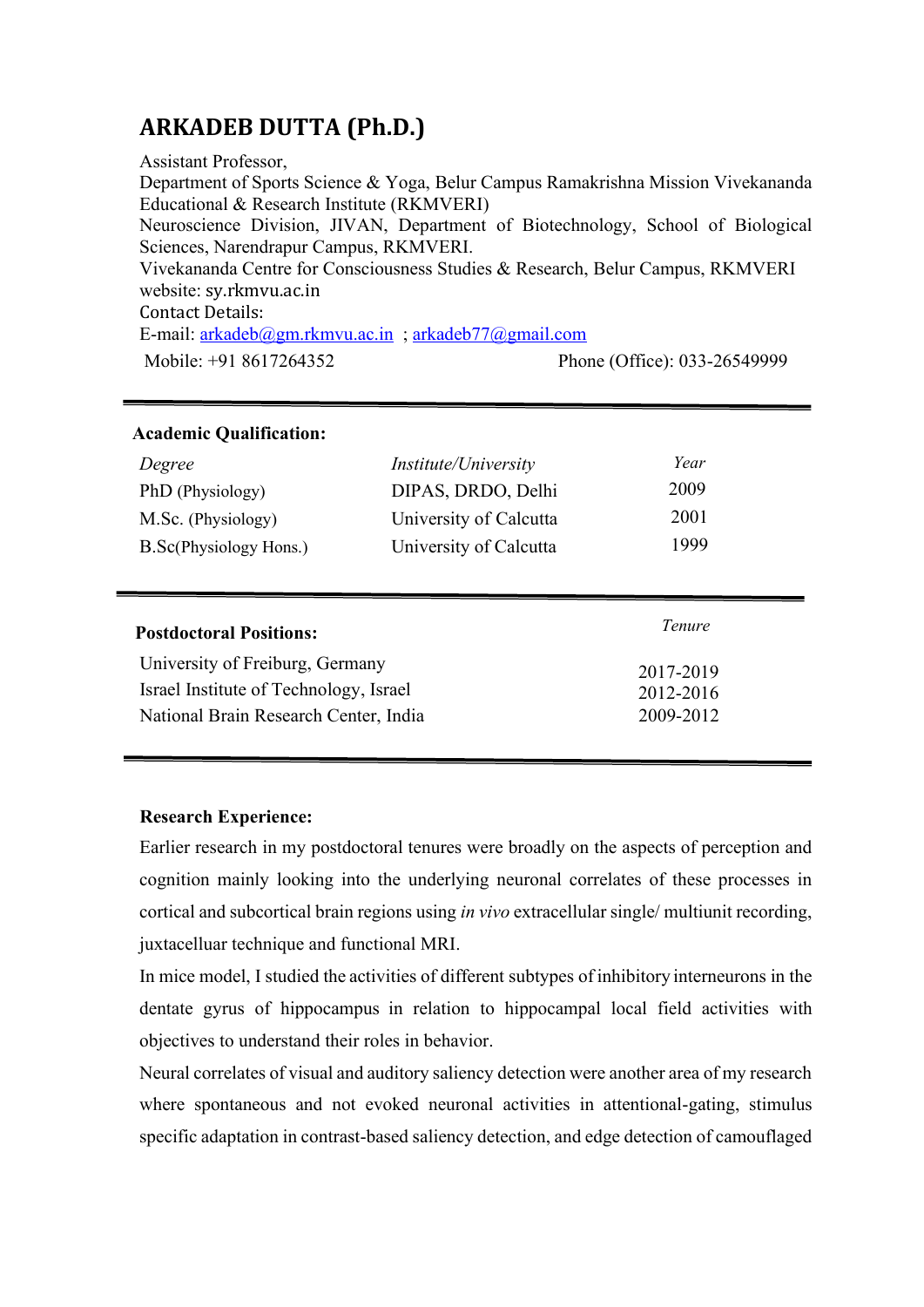# **ARKADEB DUTTA (Ph.D.)**

Assistant Professor, Department of Sports Science & Yoga, Belur Campus Ramakrishna Mission Vivekananda Educational & Research Institute (RKMVERI) Neuroscience Division, JIVAN, Department of Biotechnology, School of Biological Sciences, Narendrapur Campus, RKMVERI. Vivekananda Centre for Consciousness Studies & Research, Belur Campus, RKMVERI website: sy.rkmvu.ac.in Contact Details: E-mail: [arkadeb@gm.rkmvu.ac.in](mailto:arkadeb@gm.rkmvu.ac.in) ; [arkadeb77@gmail.com](mailto:arkadeb77@gmail.com) Mobile: +91 8617264352 Phone (Office): 033-26549999

| <b>Academic Qualification:</b>         |                             |           |
|----------------------------------------|-----------------------------|-----------|
| Degree                                 | <i>Institute/University</i> | Year      |
| PhD (Physiology)                       | DIPAS, DRDO, Delhi          | 2009      |
| M.Sc. (Physiology)                     | University of Calcutta      | 2001      |
| B.Sc(Physiology Hons.)                 | University of Calcutta      | 1999      |
|                                        |                             |           |
|                                        |                             |           |
| <b>Postdoctoral Positions:</b>         |                             | Tenure    |
| University of Freiburg, Germany        |                             | 2017-2019 |
| Israel Institute of Technology, Israel |                             | 2012-2016 |

# **Research Experience:**

Earlier research in my postdoctoral tenures were broadly on the aspects of perception and cognition mainly looking into the underlying neuronal correlates of these processes in cortical and subcortical brain regions using *in vivo* extracellular single/ multiunit recording, juxtacelluar technique and functional MRI.

In mice model, I studied the activities of different subtypes of inhibitory interneurons in the dentate gyrus of hippocampus in relation to hippocampal local field activities with objectives to understand their roles in behavior.

Neural correlates of visual and auditory saliency detection were another area of my research where spontaneous and not evoked neuronal activities in attentional-gating, stimulus specific adaptation in contrast-based saliency detection, and edge detection of camouflaged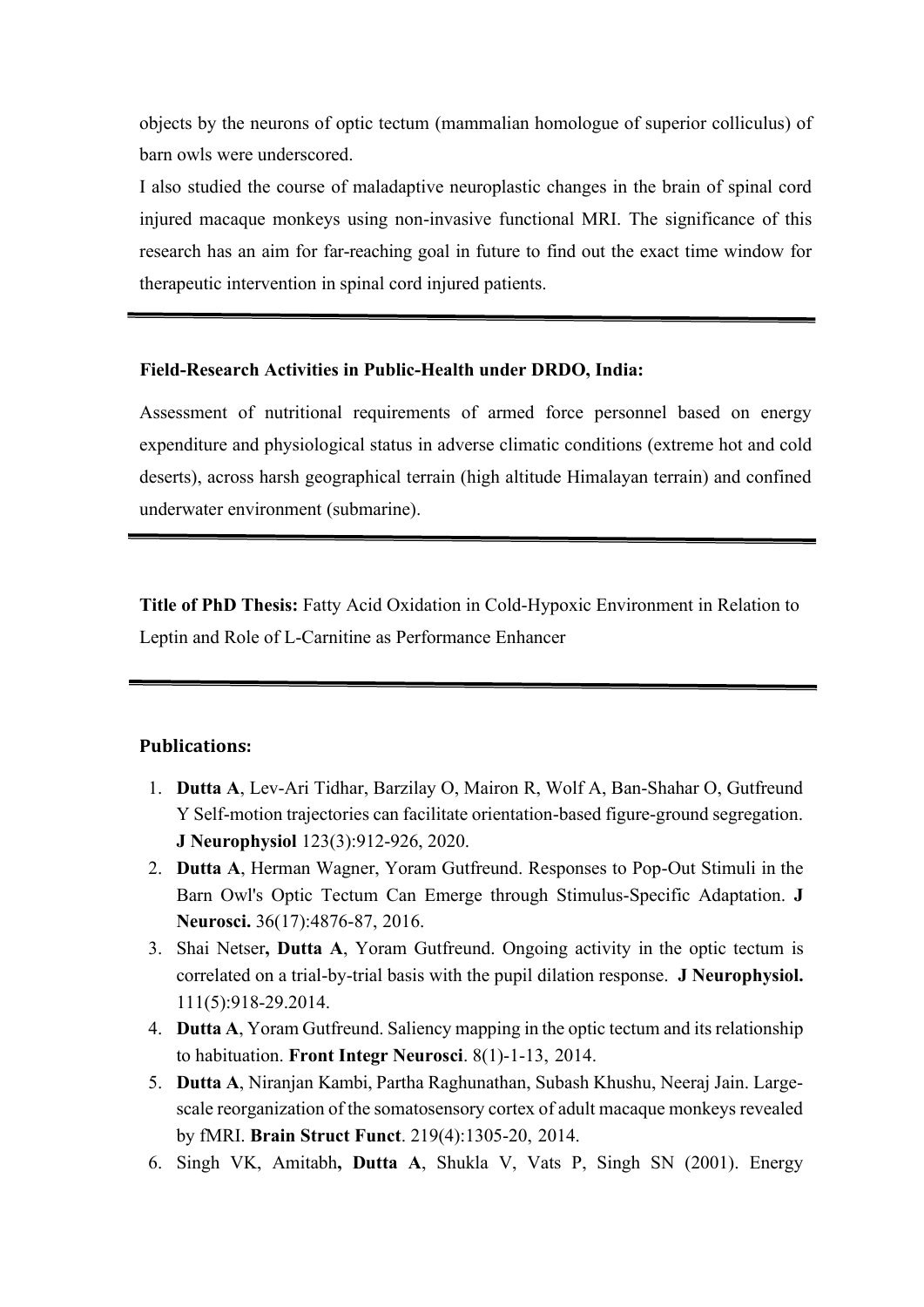objects by the neurons of optic tectum (mammalian homologue of superior colliculus) of barn owls were underscored.

I also studied the course of maladaptive neuroplastic changes in the brain of spinal cord injured macaque monkeys using non-invasive functional MRI. The significance of this research has an aim for far-reaching goal in future to find out the exact time window for therapeutic intervention in spinal cord injured patients.

### **Field-Research Activities in Public-Health under DRDO, India:**

Assessment of nutritional requirements of armed force personnel based on energy expenditure and physiological status in adverse climatic conditions (extreme hot and cold deserts), across harsh geographical terrain (high altitude Himalayan terrain) and confined underwater environment (submarine).

**Title of PhD Thesis:** Fatty Acid Oxidation in Cold-Hypoxic Environment in Relation to Leptin and Role of L-Carnitine as Performance Enhancer

#### **Publications:**

- 1. **Dutta A**, Lev-Ari Tidhar, Barzilay O, Mairon R, Wolf A, Ban-Shahar O, Gutfreund Y Self-motion trajectories can facilitate orientation-based figure-ground segregation. **J Neurophysiol** 123(3):912-926, 2020.
- 2. **Dutta A**, Herman Wagner, Yoram Gutfreund. Responses to Pop-Out Stimuli in the Barn Owl's Optic Tectum Can Emerge through Stimulus-Specific Adaptation. **J Neurosci.** 36(17):4876-87, 2016.
- 3. Shai Netser**, Dutta A**, Yoram Gutfreund. Ongoing activity in the optic tectum is correlated on a trial-by-trial basis with the pupil dilation response. **[J](http://www.ncbi.nlm.nih.gov/pubmed/24304859) [Neurophysiol.](http://www.ncbi.nlm.nih.gov/pubmed/24304859)** 111(5):918-29.2014.
- 4. **Dutta A**, Yoram Gutfreund. Saliency mapping in the optic tectum and its relationship to habituation. **[Front Integr Neurosci](http://www.ncbi.nlm.nih.gov/pubmed/24474908)**. 8(1)-1-13, 2014.
- 5. **[Dutta](http://www.ncbi.nlm.nih.gov/pubmed?term=Dutta%20A%5BAuthor%5D&cauthor=true&cauthor_uid=23652854) A**, Niranjan [Kambi,](http://www.ncbi.nlm.nih.gov/pubmed?term=Kambi%20N%5BAuthor%5D&cauthor=true&cauthor_uid=23652854) Partha [Raghunathan,](http://www.ncbi.nlm.nih.gov/pubmed?term=Raghunathan%20P%5BAuthor%5D&cauthor=true&cauthor_uid=23652854) Subash [Khushu,](http://www.ncbi.nlm.nih.gov/pubmed?term=Khushu%20S%5BAuthor%5D&cauthor=true&cauthor_uid=23652854) Neeraj [Jain.](http://www.ncbi.nlm.nih.gov/pubmed?term=Jain%20N%5BAuthor%5D&cauthor=true&cauthor_uid=23652854) Largescale reorganization of the somatosensory cortex of adult macaque monkeys revealed by fMRI. **Brain Struct Funct**. 219(4):1305-20, 2014.
- 6. Singh VK, Amitabh**, Dutta A**, Shukla V, Vats P, Singh SN (2001). Energy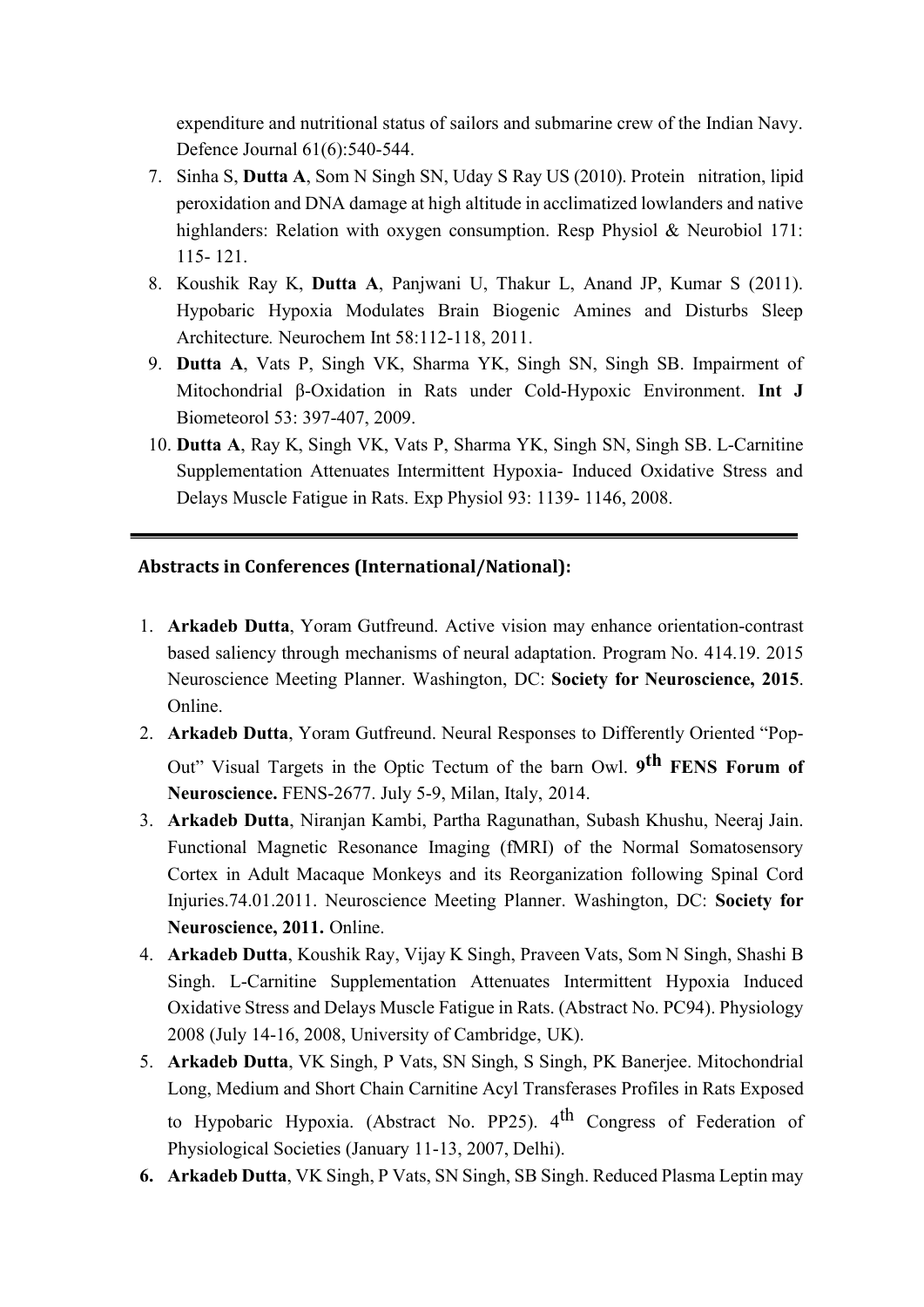expenditure and nutritional status of sailors and submarine crew of the Indian Navy. Defence Journal 61(6):540-544.

- 7. Sinha S, **Dutta A**, Som N Singh SN, Uday S Ray US (2010). Protein nitration, lipid peroxidation and DNA damage at high altitude in acclimatized lowlanders and native highlanders: Relation with oxygen consumption. Resp Physiol & Neurobiol 171: 115- 121.
- 8. Koushik Ray K, **Dutta A**, Panjwani U, Thakur L, Anand JP, Kumar S (2011). Hypobaric Hypoxia Modulates Brain Biogenic Amines and Disturbs Sleep Architecture*.* Neurochem Int 58:112-118, 2011.
- 9. **Dutta A**, Vats P, Singh VK, Sharma YK, Singh SN, Singh SB. Impairment of Mitochondrial β-Oxidation in Rats under Cold-Hypoxic Environment. **Int J**  Biometeorol 53: 397-407, 2009.
- 10. **Dutta A**, Ray K, Singh VK, Vats P, Sharma YK, Singh SN, Singh SB. L-Carnitine Supplementation Attenuates Intermittent Hypoxia- Induced Oxidative Stress and Delays Muscle Fatigue in Rats. Exp Physiol 93: 1139- 1146, 2008.

# **Abstracts in Conferences (International/National):**

- 1. **Arkadeb Dutta**, Yoram Gutfreund. Active vision may enhance orientation-contrast based saliency through mechanisms of neural adaptation. Program No. 414.19. 2015 Neuroscience Meeting Planner. Washington, DC: **Society for Neuroscience, 2015**. Online.
- 2. **Arkadeb Dutta**, Yoram Gutfreund. Neural Responses to Differently Oriented "Pop-Out" Visual Targets in the Optic Tectum of the barn Owl. **9 th FENS Forum of Neuroscience.** FENS-2677. July 5-9, Milan, Italy, 2014.
- 3. **Arkadeb Dutta**, Niranjan Kambi, Partha Ragunathan, Subash Khushu, Neeraj Jain. Functional Magnetic Resonance Imaging (fMRI) of the Normal Somatosensory Cortex in Adult Macaque Monkeys and its Reorganization following Spinal Cord Injuries.74.01.2011. Neuroscience Meeting Planner. Washington, DC: **Society for Neuroscience, 2011.** Online.
- 4. **Arkadeb Dutta**, Koushik Ray, Vijay K Singh, Praveen Vats, Som N Singh, Shashi B Singh. L-Carnitine Supplementation Attenuates Intermittent Hypoxia Induced Oxidative Stress and Delays Muscle Fatigue in Rats. (Abstract No. PC94). Physiology 2008 (July 14-16, 2008, University of Cambridge, UK).
- 5. **Arkadeb Dutta**, VK Singh, P Vats, SN Singh, S Singh, PK Banerjee. Mitochondrial Long, Medium and Short Chain Carnitine Acyl Transferases Profiles in Rats Exposed

to Hypobaric Hypoxia. (Abstract No. PP25). 4<sup>th</sup> Congress of Federation of Physiological Societies (January 11-13, 2007, Delhi).

**6. Arkadeb Dutta**, VK Singh, P Vats, SN Singh, SB Singh. Reduced Plasma Leptin may